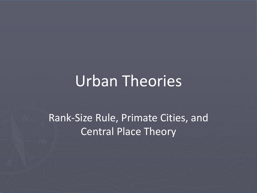# Urban Theories

#### Rank-Size Rule, Primate Cities, and Central Place Theory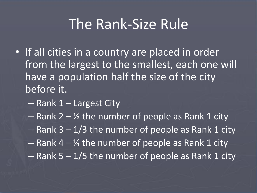#### The Rank-Size Rule

- If all cities in a country are placed in order from the largest to the smallest, each one will have a population half the size of the city before it.
	- Rank 1 Largest City
	- Rank  $2 \frac{1}{2}$  the number of people as Rank 1 city
	- $-$  Rank 3 1/3 the number of people as Rank 1 city
	- $-$  Rank 4  $\frac{1}{4}$  the number of people as Rank 1 city
	- $-$  Rank 5 1/5 the number of people as Rank 1 city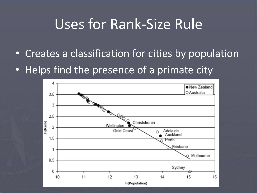## Uses for Rank-Size Rule

- Creates a classification for cities by population
- Helps find the presence of a primate city

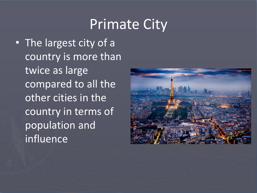## Primate City

• The largest city of a country is more than twice as large compared to all the other cities in the country in terms of population and influence

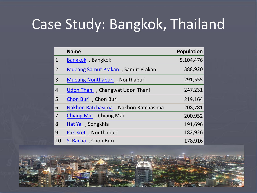## Case Study: Bangkok, Thailand

|                | <b>Name</b>                          | <b>Population</b> |
|----------------|--------------------------------------|-------------------|
| $\mathbf{1}$   | Bangkok, Bangkok                     | 5,104,476         |
| $\overline{2}$ | Mueang Samut Prakan, Samut Prakan    | 388,920           |
| 3              | Mueang Nonthaburi, Nonthaburi        | 291,555           |
| $\overline{4}$ | Udon Thani, Changwat Udon Thani      | 247,231           |
| 5              | Chon Buri, Chon Buri                 | 219,164           |
| 6              | Nakhon Ratchasima, Nakhon Ratchasima | 208,781           |
| $\overline{7}$ | Chiang Mai , Chiang Mai              | 200,952           |
| 8              | Hat Yai, Songkhla                    | 191,696           |
| 9              | Pak Kret, Nonthaburi                 | 182,926           |
| 10             | Si Racha, Chon Buri                  | 178,916           |

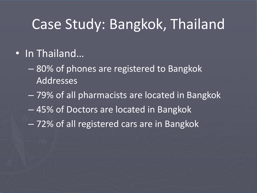#### Case Study: Bangkok, Thailand

#### • In Thailand…

- 80% of phones are registered to Bangkok Addresses
- 79% of all pharmacists are located in Bangkok
- 45% of Doctors are located in Bangkok
- 72% of all registered cars are in Bangkok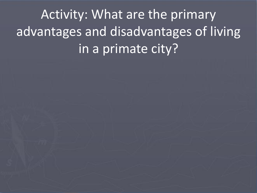Activity: What are the primary advantages and disadvantages of living in a primate city?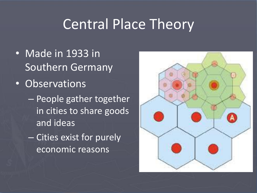## Central Place Theory

- Made in 1933 in Southern Germany
- Observations
	- People gather together in cities to share goods and ideas
	- Cities exist for purely economic reasons